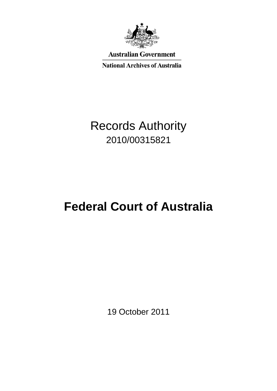

**Australian Government** 

**National Archives of Australia** 

## Records Authority 2010/00315821

# **Federal Court of Australia**

19 October 2011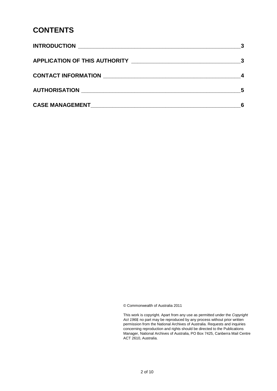### **CONTENTS**

|                                                                                                                                                                                                                                | - 5 |
|--------------------------------------------------------------------------------------------------------------------------------------------------------------------------------------------------------------------------------|-----|
| CASE MANAGEMENT NAME AND STRUCK AND THE STRUCK OF STRUCK AND THE STRUCK OF STRUCK AND THE STRUCK OF STRUCK OF STRUCK AND THE STRUCK OF STRUCK OF STRUCK AND THE STRUCK OF STRUCK OF STRUCK OF STRUCK OF STRUCK OF STRUCK OF ST |     |

© Commonwealth of Australia 2011

 This work is copyright. Apart from any use as permitted under the *Copyright Act 1968,* no part may be reproduced by any process without prior written permission from the National Archives of Australia. Requests and inquiries concerning reproduction and rights should be directed to the Publications Manager, National Archives of Australia, PO Box 7425, Canberra Mail Centre ACT 2610, Australia.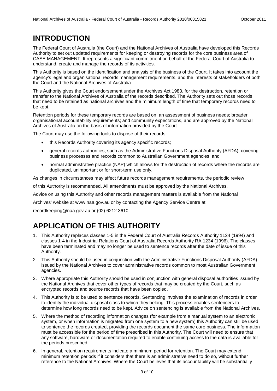### **INTRODUCTION**

The Federal Court of Australia (the Court) and the National Archives of Australia have developed this Records Authority to set out updated requirements for keeping or destroying records for the core business area of CASE MANAGEMENT. It represents a significant commitment on behalf of the Federal Court of Australia to understand, create and manage the records of its activities.

 This Authority is based on the identification and analysis of the business of the Court. It takes into account the agency's legal and organisational records management requirements, and the interests of stakeholders of both the Court and the National Archives of Australia.

This Authority gives the Court endorsement under the Archives Act 1983, for the destruction, retention or transfer to the National Archives of Australia of the records described. The Authority sets out those records that need to be retained as national archives and the minimum length of time that temporary records need to be kept.

Retention periods for these temporary records are based on: an assessment of business needs; broader organisational accountability requirements; and community expectations, and are approved by the National Archives of Australia on the basis of information provided by the Court.

The Court may use the following tools to dispose of their records:

- this Records Authority covering its agency specific records;
- general records authorities, such as the Administrative Functions Disposal Authority (AFDA), covering business processes and records common to Australian Government agencies; and
- normal administrative practice (NAP) which allows for the destruction of records where the records are duplicated, unimportant or for short-term use only.

As changes in circumstances may affect future records management requirements, the periodic review

of this Authority is recommended. All amendments must be approved by the National Archives.

Advice on using this Authority and other records management matters is available from the National

Archives' website at www.naa.gov.au or by contacting the Agency Service Centre at

recordkeeping@naa.gov.au or (02) 6212 3610.

### **APPLICATION OF THIS AUTHORITY**

- have been terminated and may no longer be used to sentence records after the date of issue of this 1. This Authority replaces classes 1-5 in the Federal Court of Australia Records Authority 1124 (1994) and classes 1-4 in the Industrial Relations Court of Australia Records Authority RA 1234 (1996). The classes Authority.
- 2. This Authority should be used in conjunction with the Administrative Functions Disposal Authority (AFDA) issued by the National Archives to cover administrative records common to most Australian Government agencies.
- 3. Where appropriate this Authority should be used in conjunction with general disposal authorities issued by the National Archives that cover other types of records that may be created by the Court, such as encrypted records and source records that have been copied.
- 4. This Authority is to be used to sentence records. Sentencing involves the examination of records in order to identify the individual disposal class to which they belong. This process enables sentencers to determine how long records need to be kept. Advice on sentencing is available from the National Archives.
- system, or when information is migrated from one system to a new system) this Authority can still be used 5. Where the method of recording information changes (for example from a manual system to an electronic to sentence the records created, providing the records document the same core business. The information must be accessible for the period of time prescribed in this Authority. The Court will need to ensure that any software, hardware or documentation required to enable continuing access to the data is available for the periods prescribed.
- 6. In general, retention requirements indicate a minimum period for retention. The Court may extend minimum retention periods if it considers that there is an administrative need to do so, without further reference to the National Archives. Where the Court believes that its accountability will be substantially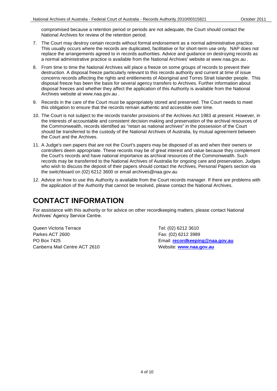compromised because a retention period or periods are not adequate, the Court should contact the National Archives for review of the retention period.

- This usually occurs where the records are duplicated, facilitative or for short-term use only. NAP does not replace the arrangements agreed to in records authorities. Advice and guidance on destroying records as a normal administrative practice is available from the National Archives' website at www.naa.gov.au . 7. The Court may destroy certain records without formal endorsement as a normal administrative practice.
- 8. From time to time the National Archives will place a freeze on some groups of records to prevent their disposal freezes and whether they affect the application of this Authority is available from the National destruction. A disposal freeze particularly relevant to this records authority and current at time of issue concerns records affecting the rights and entitlements of Aboriginal and Torres Strait Islander people. This disposal freeze has been the basis for several agency transfers to Archives. Further information about Archives website at www.naa.gov.au .
- 9. Records in the care of the Court must be appropriately stored and preserved. The Court needs to meet this obligation to ensure that the records remain authentic and accessible over time.
- the Commonwealth, records identified as "retain as national archives" in the possession of the Court the Court and the Archives. 10. The Court is not subject to the records transfer provisions of the Archives Act 1983 at present. However, in the interests of accountable and consistent decision making and preservation of the archival resources of should be transferred to the custody of the National Archives of Australia, by mutual agreement between
- 11. A Judge's own papers that are not the Court's papers may be disposed of as and when their owners or records may be transferred to the National Archives of Australia for ongoing care and preservation. Judges controllers deem appropriate. These records may be of great interest and value because they complement the Court's records and have national importance as archival resources of the Commonwealth. Such who wish to discuss the deposit of their papers should contact the Archives, Personal Papers section via the switchboard on (02) 6212 3600 or email archives@naa.gov.au
- 12. Advice on how to use this Authority is available from the Court records manager. If there are problems with the application of the Authority that cannot be resolved, please contact the National Archives.

### **CONTACT INFORMATION**

 Archives' Agency Service Centre. For assistance with this authority or for advice on other recordkeeping matters, please contact National

Queen Victoria Terrace Tel: (02) 6212 3610 Parkes ACT 2600 Fax: (02) 6212 3989 Canberra Mail Centre ACT 2610 Website: **[www.naa.gov.au](http://www.naa.gov.au/)** 

PO Box 7425 Email: **[recordkeeping@naa.gov.au](mailto:recordkeeping@naa.gov.au)**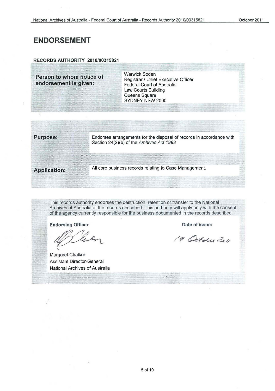### **ENDORSEMENT**

#### **RECORDS AUTHORITY 2010/00315821**

Person to whom notice of **endorsement is given:** 

Warwick Soden Registrar / Chief Executive Officer Federal Court of Australia Law Courts Building Queens Square SYDNEY NSW 2000

**Purpose:** Endorses arrangements for the disposal of records in accordance with Section 24(2)(b) of the Archives Act 1983

**Application:** All core business records relating to Case Management

This records authority endorses the destruction, retention or transfer to the National Archives of Australia of the records described. This authority will apply only with the consent of the agency currently responsible for the business documented in the records described.

**Endorsing Officer** 

Margaret Chalker Assistant Director-General National Archives of Australia

**Date of issue:** 

19 October 2011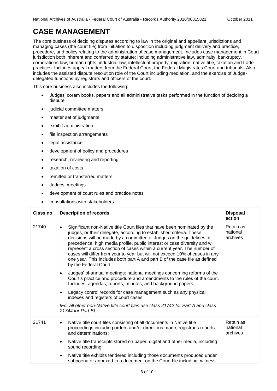The core business of deciding disputes according to law in the original and appellant jurisdictions and corporations law, human rights, industrial law, intellectual property, migration, native title, taxation and trade practices. Includes appeal matters from the Federal Court, the Federal Magistrates Court and tribunals. Also managing cases (the court file) from initiation to disposition including judgment delivery and practice, procedure, and policy relating to the administration of case management. Includes case management in Court jurisdiction both inherent and conferred by statute; including administrative law, admiralty, bankruptcy, includes the assisted dispute resolution role of the Court including mediation, and the exercise of Judgedelegated functions by registrars and officers of the court.

This core business also includes the following:

- Judges' coram books, papers and all administrative tasks performed in the function of deciding a dispute
- judicial committee matters
- master set of judgments
- exhibit administration
- file inspection arrangements
- legal assistance
- development of policy and procedures
- research, reviewing and reporting
- taxation of costs
- remitted or transferred matters
- Judges' meetings
- development of court rules and practice notes
- consultations with stakeholders.

| Class no | <b>Description of records</b>                                                                                                                                                                                                                                                                                                                                                                                                                                                                                                                                          | <b>Disposal</b><br>action         |
|----------|------------------------------------------------------------------------------------------------------------------------------------------------------------------------------------------------------------------------------------------------------------------------------------------------------------------------------------------------------------------------------------------------------------------------------------------------------------------------------------------------------------------------------------------------------------------------|-----------------------------------|
| 21740    | Significant non-Native title Court files that have been nominated by the<br>judges, or their delegate, according to established criteria. These<br>decisions will be made by a committee of Judges on the guidelines of<br>precedence, high media profile, public interest or case diversity and will<br>represent a cross section of cases within a current year. The number of<br>cases will differ from year to year but will not exceed 10% of cases in any<br>one year. This includes both part A and part B of the case file as defined<br>by the Federal Court; | Retain as<br>national<br>archives |
|          | Judges' bi-annual meetings: national meetings concerning reforms of the<br>$\bullet$<br>Court's practice and procedure and amendments to the rules of the court.<br>Includes: agendas; reports; minutes; and background papers;                                                                                                                                                                                                                                                                                                                                        |                                   |
|          | Legacy control records for case management such as any physical<br>$\bullet$<br>indexes and registers of court cases;                                                                                                                                                                                                                                                                                                                                                                                                                                                  |                                   |
|          | [For all other non-Native title court files use class 21742 for Part A and class<br>21744 for Part B]                                                                                                                                                                                                                                                                                                                                                                                                                                                                  |                                   |
| 21741    | Native title court files consisting of all documents in Native title<br>$\bullet$<br>proceedings including orders and/or directions made, registrar's reports<br>and determinations;                                                                                                                                                                                                                                                                                                                                                                                   | Retain as<br>national<br>archives |
|          | Native title transcripts stored on paper, digital and other media, including<br>$\bullet$<br>sound recording;                                                                                                                                                                                                                                                                                                                                                                                                                                                          |                                   |
|          | Native title exhibits tendered including those documents produced under<br>$\bullet$<br>subpoena or annexed to a document on the Court file including: witness                                                                                                                                                                                                                                                                                                                                                                                                         |                                   |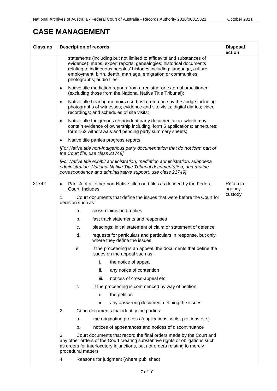| Class no | <b>Description of records</b>                                                                                                                                                                                                                                                                                         | <b>Disposal</b><br>action |
|----------|-----------------------------------------------------------------------------------------------------------------------------------------------------------------------------------------------------------------------------------------------------------------------------------------------------------------------|---------------------------|
|          | statements (including but not limited to affidavits and substances of<br>evidence); maps; expert reports; genealogies; historical documents<br>relating to indigenous peoples' histories including: language, culture,<br>employment, birth, death, marriage, emigration or communities;<br>photographs; audio files; |                           |
|          | Native title mediation reports from a registrar or external practitioner<br>$\bullet$<br>(excluding those from the National Native Title Tribunal);                                                                                                                                                                   |                           |
|          | Native title hearing memoirs used as a reference by the Judge including:<br>photographs of witnesses; evidence and site visits; digital diaries; video<br>recordings; and schedules of site visits;                                                                                                                   |                           |
|          | Native title Indigenous respondent party documentation which may<br>$\bullet$<br>contain evidence of ownership including: form 5 applications; annexures;<br>form 162 withdrawals and pending party summary sheets;                                                                                                   |                           |
|          | Native title parties progress reports;<br>$\bullet$                                                                                                                                                                                                                                                                   |                           |
|          | [For Native title non-Indigenous party documentation that do not form part of<br>the Court file, use class 21749]                                                                                                                                                                                                     |                           |
|          | [For Native title exhibit administration, mediation administration, subpoena<br>administration, National Native Title Tribunal documentation, and routine<br>correspondence and administrative support, use class 21749]                                                                                              |                           |
| 21742    | Part A of all other non-Native title court files as defined by the Federal<br>$\bullet$<br>Court. Includes:                                                                                                                                                                                                           | Retain in<br>agency       |
|          | Court documents that define the issues that were before the Court for<br>1.<br>decision such as:                                                                                                                                                                                                                      | custody                   |
|          | cross-claims and replies<br>а.                                                                                                                                                                                                                                                                                        |                           |
|          | b.<br>fast track statements and responses                                                                                                                                                                                                                                                                             |                           |
|          | pleadings: initial statement of claim or statement of defence<br>c.                                                                                                                                                                                                                                                   |                           |
|          | d.<br>requests for particulars and particulars in response, but only<br>where they define the issues                                                                                                                                                                                                                  |                           |
|          | If the proceeding is an appeal, the documents that define the<br>е.<br>issues on the appeal such as:                                                                                                                                                                                                                  |                           |
|          | i.<br>the notice of appeal                                                                                                                                                                                                                                                                                            |                           |
|          | ii.<br>any notice of contention                                                                                                                                                                                                                                                                                       |                           |
|          | iii.<br>notices of cross-appeal etc.                                                                                                                                                                                                                                                                                  |                           |
|          | f.<br>If the proceeding is commenced by way of petition:                                                                                                                                                                                                                                                              |                           |
|          | the petition<br>i.                                                                                                                                                                                                                                                                                                    |                           |
|          | ii.<br>any answering document defining the issues                                                                                                                                                                                                                                                                     |                           |
|          | 2.<br>Court documents that identify the parties:                                                                                                                                                                                                                                                                      |                           |
|          | the originating process (applications, writs, petitions etc.)<br>a.                                                                                                                                                                                                                                                   |                           |
|          | b.<br>notices of appearances and notices of discontinuance                                                                                                                                                                                                                                                            |                           |
|          | 3.<br>Court documents that record the final orders made by the Court and<br>any other orders of the Court creating substantive rights or obligations such<br>as orders for interlocutory injunctions, but not orders relating to merely<br>procedural matters                                                         |                           |
|          | Reasons for judgment (where published)<br>4.                                                                                                                                                                                                                                                                          |                           |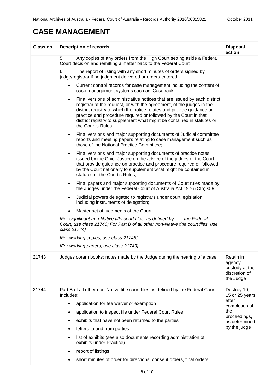| <b>Class no</b> | <b>Description of records</b>                                                                                                                                                                                                                                                                                                                                                                                | <b>Disposal</b><br>action                                           |
|-----------------|--------------------------------------------------------------------------------------------------------------------------------------------------------------------------------------------------------------------------------------------------------------------------------------------------------------------------------------------------------------------------------------------------------------|---------------------------------------------------------------------|
|                 | 5.<br>Any copies of any orders from the High Court setting aside a Federal<br>Court decision and remitting a matter back to the Federal Court                                                                                                                                                                                                                                                                |                                                                     |
|                 | 6.<br>The report of listing with any short minutes of orders signed by<br>judge/registrar if no judgment delivered or orders entered;                                                                                                                                                                                                                                                                        |                                                                     |
|                 | Current control records for case management including the content of<br>$\bullet$<br>case management systems such as 'Casetrack'.                                                                                                                                                                                                                                                                            |                                                                     |
|                 | Final versions of administrative notices that are issued by each district<br>$\bullet$<br>registrar at the request, or with the agreement, of the judges in the<br>district registry to which the notice relates and provide guidance on<br>practice and procedure required or followed by the Court in that<br>district registry to supplement what might be contained in statutes or<br>the Court's Rules. |                                                                     |
|                 | Final versions and major supporting documents of Judicial committee<br>$\bullet$<br>reports and meeting papers relating to case management such as<br>those of the National Practice Committee;                                                                                                                                                                                                              |                                                                     |
|                 | Final versions and major supporting documents of practice notes<br>$\bullet$<br>issued by the Chief Justice on the advice of the judges of the Court<br>that provide guidance on practice and procedure required or followed<br>by the Court nationally to supplement what might be contained in<br>statutes or the Court's Rules;                                                                           |                                                                     |
|                 | Final papers and major supporting documents of Court rules made by<br>$\bullet$<br>the Judges under the Federal Court of Australia Act 1976 (Cth) s59;                                                                                                                                                                                                                                                       |                                                                     |
|                 | Judicial powers delegated to registrars under court legislation<br>$\bullet$<br>including instruments of delegation;                                                                                                                                                                                                                                                                                         |                                                                     |
|                 | Master set of judgments of the Court;<br>$\bullet$                                                                                                                                                                                                                                                                                                                                                           |                                                                     |
|                 | [For significant non-Native title court files, as defined by<br>the Federal<br>Court, use class 21740; For Part B of all other non-Native title court files, use<br>class 21744]                                                                                                                                                                                                                             |                                                                     |
|                 | [For working copies, use class 21748]                                                                                                                                                                                                                                                                                                                                                                        |                                                                     |
|                 | [For working papers, use class 21749]                                                                                                                                                                                                                                                                                                                                                                        |                                                                     |
| 21743           | Judges coram books: notes made by the Judge during the hearing of a case                                                                                                                                                                                                                                                                                                                                     | Retain in<br>agency<br>custody at the<br>discretion of<br>the Judge |
| 21744           | Part B of all other non-Native title court files as defined by the Federal Court.<br>Includes:                                                                                                                                                                                                                                                                                                               | Destroy 10,<br>15 or 25 years<br>after                              |
|                 | application for fee waiver or exemption<br>$\bullet$                                                                                                                                                                                                                                                                                                                                                         | completion of                                                       |
|                 | application to inspect file under Federal Court Rules                                                                                                                                                                                                                                                                                                                                                        | the                                                                 |
|                 | exhibits that have not been returned to the parties                                                                                                                                                                                                                                                                                                                                                          | proceedings,<br>as determined                                       |
|                 | letters to and from parties                                                                                                                                                                                                                                                                                                                                                                                  | by the judge                                                        |
|                 | list of exhibits (see also documents recording administration of<br>٠<br>exhibits under Practice)                                                                                                                                                                                                                                                                                                            |                                                                     |
|                 | report of listings                                                                                                                                                                                                                                                                                                                                                                                           |                                                                     |
|                 | short minutes of order for directions, consent orders, final orders                                                                                                                                                                                                                                                                                                                                          |                                                                     |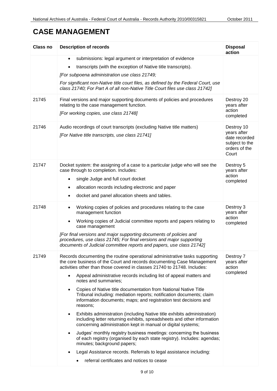| <b>Class no</b> | <b>Description of records</b>                                                                                                                                                                                                                                                                                                                                                                                                                                                                                                                                                                                                                                                                                                                                                                                                                                                                                                                                                                                                                                                                                                           | <b>Disposal</b><br>action                                                              |
|-----------------|-----------------------------------------------------------------------------------------------------------------------------------------------------------------------------------------------------------------------------------------------------------------------------------------------------------------------------------------------------------------------------------------------------------------------------------------------------------------------------------------------------------------------------------------------------------------------------------------------------------------------------------------------------------------------------------------------------------------------------------------------------------------------------------------------------------------------------------------------------------------------------------------------------------------------------------------------------------------------------------------------------------------------------------------------------------------------------------------------------------------------------------------|----------------------------------------------------------------------------------------|
|                 | submissions: legal argument or interpretation of evidence<br>$\bullet$<br>transcripts (with the exception of Native title transcripts).<br>[For subpoena administration use class 21749;<br>For significant non-Native title court files, as defined by the Federal Court, use<br>class 21740; For Part A of all non-Native Title Court files use class 21742]                                                                                                                                                                                                                                                                                                                                                                                                                                                                                                                                                                                                                                                                                                                                                                          |                                                                                        |
| 21745           | Final versions and major supporting documents of policies and procedures<br>relating to the case management function.<br>[For working copies, use class 21748]                                                                                                                                                                                                                                                                                                                                                                                                                                                                                                                                                                                                                                                                                                                                                                                                                                                                                                                                                                          | Destroy 20<br>years after<br>action<br>completed                                       |
| 21746           | Audio recordings of court transcripts (excluding Native title matters)<br>[For Native title transcripts, use class 21741]                                                                                                                                                                                                                                                                                                                                                                                                                                                                                                                                                                                                                                                                                                                                                                                                                                                                                                                                                                                                               | Destroy 10<br>years after<br>date recorded<br>subject to the<br>orders of the<br>Court |
| 21747           | Docket system: the assigning of a case to a particular judge who will see the<br>case through to completion. Includes:<br>single Judge and full court docket<br>$\bullet$<br>allocation records including electronic and paper<br>٠<br>docket and panel allocation sheets and tables.<br>$\bullet$                                                                                                                                                                                                                                                                                                                                                                                                                                                                                                                                                                                                                                                                                                                                                                                                                                      | Destroy 5<br>years after<br>action<br>completed                                        |
| 21748           | Working copies of policies and procedures relating to the case<br>$\bullet$<br>management function<br>Working copies of Judicial committee reports and papers relating to<br>$\bullet$<br>case management<br>[For final versions and major supporting documents of policies and<br>procedures, use class 21745; For final versions and major supporting<br>documents of Judicial committee reports and papers, use class 21742]                                                                                                                                                                                                                                                                                                                                                                                                                                                                                                                                                                                                                                                                                                         | Destroy 3<br>years after<br>action<br>completed                                        |
| 21749           | Records documenting the routine operational administrative tasks supporting<br>the core business of the Court and records documenting Case Management<br>activities other than those covered in classes 21740 to 21748. Includes:<br>Appeal administrative records including list of appeal matters and<br>$\bullet$<br>notes and summaries:<br>Copies of Native title documentation from National Native Title<br>$\bullet$<br>Tribunal including: mediation reports; notification documents; claim<br>information documents; maps; and registration test decisions and<br>reasons;<br>Exhibits administration (including Native title exhibits administration)<br>٠<br>including letter returning exhibits, spreadsheets and other information<br>concerning administration kept in manual or digital systems;<br>Judges' monthly registry business meetings: concerning the business<br>$\bullet$<br>of each registry (organised by each state registry). Includes: agendas;<br>minutes; background papers;<br>Legal Assistance records. Referrals to legal assistance including:<br>٠<br>referral certificates and notices to cease | Destroy 7<br>years after<br>action<br>completed                                        |